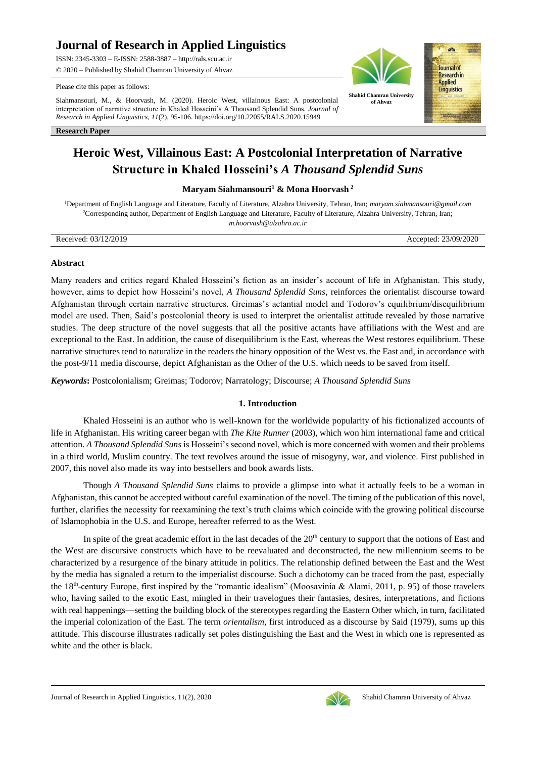# **Journal of Research in Applied Linguistics**

ISSN: 2345-3303 – E-ISSN: 2588-3887 – http://rals.scu.ac.ir © 2020 – Published by Shahid Chamran University of Ahvaz

Please cite this paper as follows:

Siahmansouri, M., & Hoorvash, M. (2020). Heroic West, villainous East: A postcolonial interpretation of narrative structure in Khaled Hosseini's A Thousand Splendid Suns. *Journal of Research in Applied Linguistics*, *11*(2), 95-106. https://doi.org/10.22055/RALS.2020.15949



# **Heroic West, Villainous East: A Postcolonial Interpretation of Narrative Structure in Khaled Hosseini's** *A Thousand Splendid Suns*

#### **Maryam Siahmansouri<sup>1</sup> & Mona Hoorvash <sup>2</sup>**

<sup>1</sup>Department of English Language and Literature, Faculty of Literature, Alzahra University, Tehran, Iran; *maryam.siahmansouri@gmail.com* <sup>2</sup>Corresponding author, Department of English Language and Literature, Faculty of Literature, Alzahra University, Tehran, Iran; *m.hoorvash@alzahra.ac.ir*

Received: 03/12/2019 Accepted: 23/09/2020

Journal of **Research in Applied** Linguistics

**Shahid Chamran University of Ahvaz**

# **Abstract**

Many readers and critics regard Khaled Hosseini's fiction as an insider's account of life in Afghanistan. This study, however, aims to depict how Hosseini's novel, *A Thousand Splendid Suns*, reinforces the orientalist discourse toward Afghanistan through certain narrative structures. Greimas's actantial model and Todorov's equilibrium/disequilibrium model are used. Then, Said's postcolonial theory is used to interpret the orientalist attitude revealed by those narrative studies. The deep structure of the novel suggests that all the positive actants have affiliations with the West and are exceptional to the East. In addition, the cause of disequilibrium is the East, whereas the West restores equilibrium. These narrative structures tend to naturalize in the readers the binary opposition of the West vs. the East and, in accordance with the post-9/11 media discourse, depict Afghanistan as the Other of the U.S. which needs to be saved from itself.

*Keywords***:** Postcolonialism; Greimas; Todorov; Narratology; Discourse; *A Thousand Splendid Suns*

# **1. Introduction**

Khaled Hosseini is an author who is well-known for the worldwide popularity of his fictionalized accounts of life in Afghanistan. His writing career began with *The Kite Runner* (2003), which won him international fame and critical attention. *A Thousand Splendid Suns* is Hosseini's second novel, which is more concerned with women and their problems in a third world, Muslim country. The text revolves around the issue of misogyny, war, and violence. First published in 2007, this novel also made its way into bestsellers and book awards lists.

Though *A Thousand Splendid Suns* claims to provide a glimpse into what it actually feels to be a woman in Afghanistan, this cannot be accepted without careful examination of the novel. The timing of the publication of this novel, further, clarifies the necessity for reexamining the text's truth claims which coincide with the growing political discourse of Islamophobia in the U.S. and Europe, hereafter referred to as the West.

In spite of the great academic effort in the last decades of the 20<sup>th</sup> century to support that the notions of East and the West are discursive constructs which have to be reevaluated and deconstructed, the new millennium seems to be characterized by a resurgence of the binary attitude in politics. The relationship defined between the East and the West by the media has signaled a return to the imperialist discourse. Such a dichotomy can be traced from the past, especially the  $18<sup>th</sup>$ -century Europe, first inspired by the "romantic idealism" (Moosavinia & Alami, 2011, p. 95) of those travelers who, having sailed to the exotic East, mingled in their travelogues their fantasies, desires, interpretations, and fictions with real happenings—setting the building block of the stereotypes regarding the Eastern Other which, in turn, facilitated the imperial colonization of the East. The term *orientalism*, first introduced as a discourse by Said (1979), sums up this attitude. This discourse illustrates radically set poles distinguishing the East and the West in which one is represented as white and the other is black.

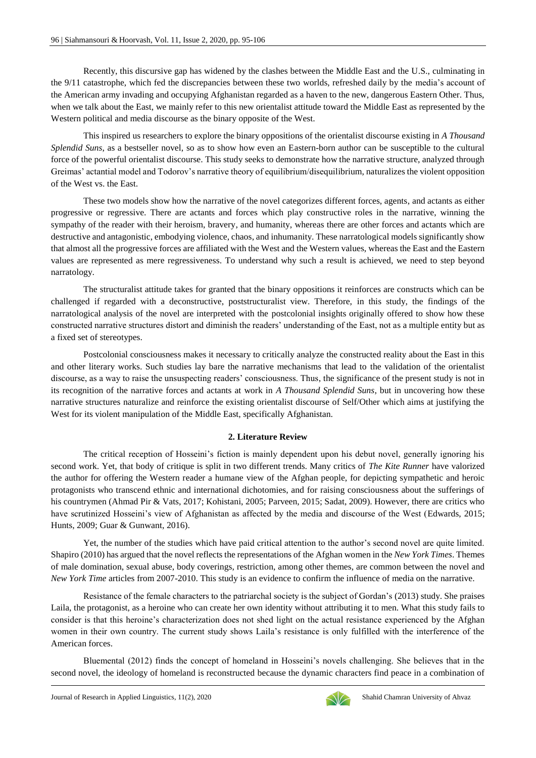Recently, this discursive gap has widened by the clashes between the Middle East and the U.S., culminating in the 9/11 catastrophe, which fed the discrepancies between these two worlds, refreshed daily by the media's account of the American army invading and occupying Afghanistan regarded as a haven to the new, dangerous Eastern Other. Thus, when we talk about the East, we mainly refer to this new orientalist attitude toward the Middle East as represented by the Western political and media discourse as the binary opposite of the West.

This inspired us researchers to explore the binary oppositions of the orientalist discourse existing in *A Thousand Splendid Suns*, as a bestseller novel, so as to show how even an Eastern-born author can be susceptible to the cultural force of the powerful orientalist discourse. This study seeks to demonstrate how the narrative structure, analyzed through Greimas' actantial model and Todorov's narrative theory of equilibrium/disequilibrium, naturalizes the violent opposition of the West vs. the East.

These two models show how the narrative of the novel categorizes different forces, agents, and actants as either progressive or regressive. There are actants and forces which play constructive roles in the narrative, winning the sympathy of the reader with their heroism, bravery, and humanity, whereas there are other forces and actants which are destructive and antagonistic, embodying violence, chaos, and inhumanity. These narratological models significantly show that almost all the progressive forces are affiliated with the West and the Western values, whereas the East and the Eastern values are represented as mere regressiveness. To understand why such a result is achieved, we need to step beyond narratology.

The structuralist attitude takes for granted that the binary oppositions it reinforces are constructs which can be challenged if regarded with a deconstructive, poststructuralist view. Therefore, in this study, the findings of the narratological analysis of the novel are interpreted with the postcolonial insights originally offered to show how these constructed narrative structures distort and diminish the readers' understanding of the East, not as a multiple entity but as a fixed set of stereotypes.

Postcolonial consciousness makes it necessary to critically analyze the constructed reality about the East in this and other literary works. Such studies lay bare the narrative mechanisms that lead to the validation of the orientalist discourse, as a way to raise the unsuspecting readers' consciousness. Thus, the significance of the present study is not in its recognition of the narrative forces and actants at work in *A Thousand Splendid Suns*, but in uncovering how these narrative structures naturalize and reinforce the existing orientalist discourse of Self/Other which aims at justifying the West for its violent manipulation of the Middle East, specifically Afghanistan.

#### **2. Literature Review**

The critical reception of Hosseini's fiction is mainly dependent upon his debut novel, generally ignoring his second work. Yet, that body of critique is split in two different trends. Many critics of *The Kite Runner* have valorized the author for offering the Western reader a humane view of the Afghan people, for depicting sympathetic and heroic protagonists who transcend ethnic and international dichotomies, and for raising consciousness about the sufferings of his countrymen (Ahmad Pir & Vats, 2017; Kohistani, 2005; Parveen, 2015; Sadat, 2009). However, there are critics who have scrutinized Hosseini's view of Afghanistan as affected by the media and discourse of the West (Edwards, 2015; Hunts, 2009; Guar & Gunwant, 2016).

Yet, the number of the studies which have paid critical attention to the author's second novel are quite limited. Shapiro (2010) has argued that the novel reflects the representations of the Afghan women in the *New York Times*. Themes of male domination, sexual abuse, body coverings, restriction, among other themes, are common between the novel and *New York Time* articles from 2007-2010. This study is an evidence to confirm the influence of media on the narrative.

Resistance of the female characters to the patriarchal society is the subject of Gordan's (2013) study. She praises Laila, the protagonist, as a heroine who can create her own identity without attributing it to men. What this study fails to consider is that this heroine's characterization does not shed light on the actual resistance experienced by the Afghan women in their own country. The current study shows Laila's resistance is only fulfilled with the interference of the American forces.

Bluemental (2012) finds the concept of homeland in Hosseini's novels challenging. She believes that in the second novel, the ideology of homeland is reconstructed because the dynamic characters find peace in a combination of

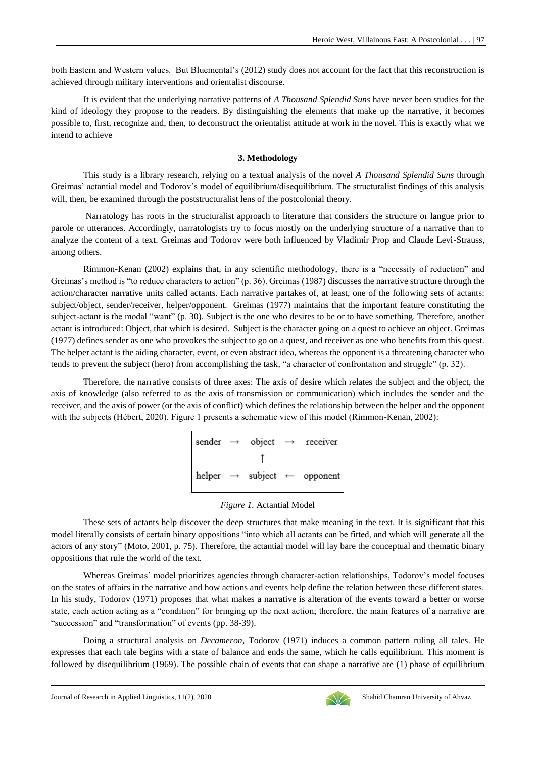both Eastern and Western values. But Bluemental's (2012) study does not account for the fact that this reconstruction is achieved through military interventions and orientalist discourse.

It is evident that the underlying narrative patterns of *A Thousand Splendid Suns* have never been studies for the kind of ideology they propose to the readers. By distinguishing the elements that make up the narrative, it becomes possible to, first, recognize and, then, to deconstruct the orientalist attitude at work in the novel. This is exactly what we intend to achieve

#### **3. Methodology**

This study is a library research, relying on a textual analysis of the novel *A Thousand Splendid Suns* through Greimas' actantial model and Todorov's model of equilibrium/disequilibrium. The structuralist findings of this analysis will, then, be examined through the poststructuralist lens of the postcolonial theory.

Narratology has roots in the structuralist approach to literature that considers the structure or langue prior to parole or utterances. Accordingly, narratologists try to focus mostly on the underlying structure of a narrative than to analyze the content of a text. Greimas and Todorov were both influenced by Vladimir Prop and Claude Levi-Strauss, among others.

Rimmon-Kenan (2002) explains that, in any scientific methodology, there is a "necessity of reduction" and Greimas's method is "to reduce characters to action" (p. 36). Greimas (1987) discusses the narrative structure through the action/character narrative units called actants. Each narrative partakes of, at least, one of the following sets of actants: subject/object, sender/receiver, helper/opponent. Greimas (1977) maintains that the important feature constituting the subject-actant is the modal "want" (p. 30). Subject is the one who desires to be or to have something. Therefore, another actant is introduced: Object, that which is desired. Subject is the character going on a quest to achieve an object. Greimas (1977) defines sender as one who provokes the subject to go on a quest, and receiver as one who benefits from this quest. The helper actant is the aiding character, event, or even abstract idea, whereas the opponent is a threatening character who tends to prevent the subject (hero) from accomplishing the task, "a character of confrontation and struggle" (p. 32).

Therefore, the narrative consists of three axes: The axis of desire which relates the subject and the object, the axis of knowledge (also referred to as the axis of transmission or communication) which includes the sender and the receiver, and the axis of power (or the axis of conflict) which defines the relationship between the helper and the opponent with the subjects (Hèbert, 2020). Figure 1 presents a schematic view of this model (Rimmon-Kenan, 2002):

|  |  | sender $\rightarrow$ object $\rightarrow$ receiver |
|--|--|----------------------------------------------------|
|  |  |                                                    |
|  |  | helper $\rightarrow$ subject $\leftarrow$ opponent |

#### *Figure 1.* Actantial Model

These sets of actants help discover the deep structures that make meaning in the text. It is significant that this model literally consists of certain binary oppositions "into which all actants can be fitted, and which will generate all the actors of any story" (Moto, 2001, p. 75). Therefore, the actantial model will lay bare the conceptual and thematic binary oppositions that rule the world of the text.

Whereas Greimas' model prioritizes agencies through character-action relationships, Todorov's model focuses on the states of affairs in the narrative and how actions and events help define the relation between these different states. In his study, Todorov (1971) proposes that what makes a narrative is alteration of the events toward a better or worse state, each action acting as a "condition" for bringing up the next action; therefore, the main features of a narrative are "succession" and "transformation" of events (pp. 38-39).

Doing a structural analysis on *Decameron*, Todorov (1971) induces a common pattern ruling all tales. He expresses that each tale begins with a state of balance and ends the same, which he calls equilibrium. This moment is followed by disequilibrium (1969). The possible chain of events that can shape a narrative are (1) phase of equilibrium

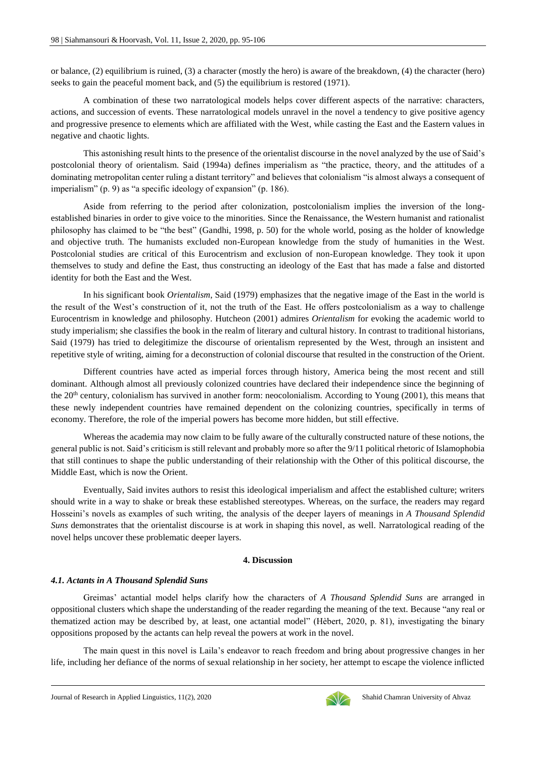or balance, (2) equilibrium is ruined, (3) a character (mostly the hero) is aware of the breakdown, (4) the character (hero) seeks to gain the peaceful moment back, and (5) the equilibrium is restored (1971).

A combination of these two narratological models helps cover different aspects of the narrative: characters, actions, and succession of events. These narratological models unravel in the novel a tendency to give positive agency and progressive presence to elements which are affiliated with the West, while casting the East and the Eastern values in negative and chaotic lights.

This astonishing result hints to the presence of the orientalist discourse in the novel analyzed by the use of Said's postcolonial theory of orientalism. Said (1994a) defines imperialism as "the practice, theory, and the attitudes of a dominating metropolitan center ruling a distant territory" and believes that colonialism "is almost always a consequent of imperialism" (p. 9) as "a specific ideology of expansion" (p. 186).

Aside from referring to the period after colonization, postcolonialism implies the inversion of the longestablished binaries in order to give voice to the minorities. Since the Renaissance, the Western humanist and rationalist philosophy has claimed to be "the best" (Gandhi, 1998, p. 50) for the whole world, posing as the holder of knowledge and objective truth. The humanists excluded non-European knowledge from the study of humanities in the West. Postcolonial studies are critical of this Eurocentrism and exclusion of non-European knowledge. They took it upon themselves to study and define the East, thus constructing an ideology of the East that has made a false and distorted identity for both the East and the West.

In his significant book *Orientalism*, Said (1979) emphasizes that the negative image of the East in the world is the result of the West's construction of it, not the truth of the East. He offers postcolonialism as a way to challenge Eurocentrism in knowledge and philosophy. Hutcheon (2001) admires *Orientalism* for evoking the academic world to study imperialism; she classifies the book in the realm of literary and cultural history. In contrast to traditional historians, Said (1979) has tried to delegitimize the discourse of orientalism represented by the West, through an insistent and repetitive style of writing, aiming for a deconstruction of colonial discourse that resulted in the construction of the Orient.

Different countries have acted as imperial forces through history, America being the most recent and still dominant. Although almost all previously colonized countries have declared their independence since the beginning of the 20<sup>th</sup> century, colonialism has survived in another form: neocolonialism. According to Young (2001), this means that these newly independent countries have remained dependent on the colonizing countries, specifically in terms of economy. Therefore, the role of the imperial powers has become more hidden, but still effective.

Whereas the academia may now claim to be fully aware of the culturally constructed nature of these notions, the general public is not. Said's criticism is still relevant and probably more so after the 9/11 political rhetoric of Islamophobia that still continues to shape the public understanding of their relationship with the Other of this political discourse, the Middle East, which is now the Orient.

Eventually, Said invites authors to resist this ideological imperialism and affect the established culture; writers should write in a way to shake or break these established stereotypes. Whereas, on the surface, the readers may regard Hosseini's novels as examples of such writing, the analysis of the deeper layers of meanings in *A Thousand Splendid Suns* demonstrates that the orientalist discourse is at work in shaping this novel, as well. Narratological reading of the novel helps uncover these problematic deeper layers.

#### **4. Discussion**

# *4.1. Actants in A Thousand Splendid Suns*

Greimas' actantial model helps clarify how the characters of *A Thousand Splendid Suns* are arranged in oppositional clusters which shape the understanding of the reader regarding the meaning of the text. Because "any real or thematized action may be described by, at least, one actantial model" (Hѐbert, 2020, p. 81), investigating the binary oppositions proposed by the actants can help reveal the powers at work in the novel.

The main quest in this novel is Laila's endeavor to reach freedom and bring about progressive changes in her life, including her defiance of the norms of sexual relationship in her society, her attempt to escape the violence inflicted

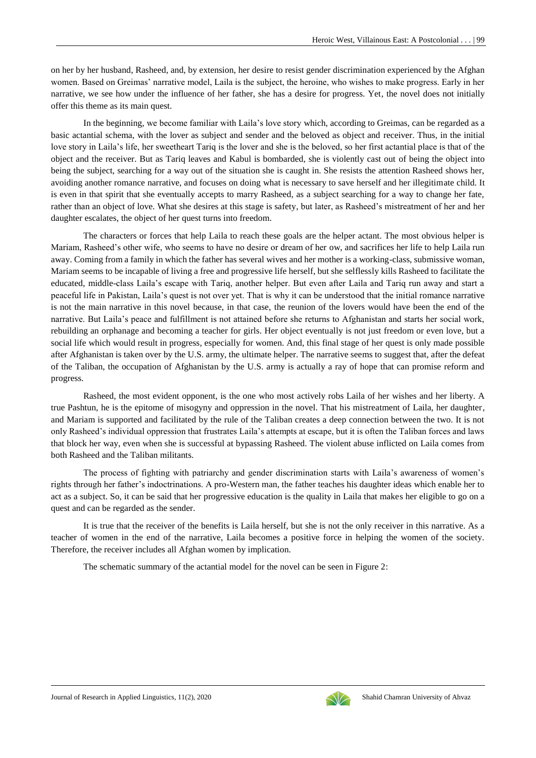on her by her husband, Rasheed, and, by extension, her desire to resist gender discrimination experienced by the Afghan women. Based on Greimas' narrative model, Laila is the subject, the heroine, who wishes to make progress. Early in her narrative, we see how under the influence of her father, she has a desire for progress. Yet, the novel does not initially offer this theme as its main quest.

In the beginning, we become familiar with Laila's love story which, according to Greimas, can be regarded as a basic actantial schema, with the lover as subject and sender and the beloved as object and receiver. Thus, in the initial love story in Laila's life, her sweetheart Tariq is the lover and she is the beloved, so her first actantial place is that of the object and the receiver. But as Tariq leaves and Kabul is bombarded, she is violently cast out of being the object into being the subject, searching for a way out of the situation she is caught in. She resists the attention Rasheed shows her, avoiding another romance narrative, and focuses on doing what is necessary to save herself and her illegitimate child. It is even in that spirit that she eventually accepts to marry Rasheed, as a subject searching for a way to change her fate, rather than an object of love. What she desires at this stage is safety, but later, as Rasheed's mistreatment of her and her daughter escalates, the object of her quest turns into freedom.

The characters or forces that help Laila to reach these goals are the helper actant. The most obvious helper is Mariam, Rasheed's other wife, who seems to have no desire or dream of her ow, and sacrifices her life to help Laila run away. Coming from a family in which the father has several wives and her mother is a working-class, submissive woman, Mariam seems to be incapable of living a free and progressive life herself, but she selflessly kills Rasheed to facilitate the educated, middle-class Laila's escape with Tariq, another helper. But even after Laila and Tariq run away and start a peaceful life in Pakistan, Laila's quest is not over yet. That is why it can be understood that the initial romance narrative is not the main narrative in this novel because, in that case, the reunion of the lovers would have been the end of the narrative. But Laila's peace and fulfillment is not attained before she returns to Afghanistan and starts her social work, rebuilding an orphanage and becoming a teacher for girls. Her object eventually is not just freedom or even love, but a social life which would result in progress, especially for women. And, this final stage of her quest is only made possible after Afghanistan is taken over by the U.S. army, the ultimate helper. The narrative seems to suggest that, after the defeat of the Taliban, the occupation of Afghanistan by the U.S. army is actually a ray of hope that can promise reform and progress.

Rasheed, the most evident opponent, is the one who most actively robs Laila of her wishes and her liberty. A true Pashtun, he is the epitome of misogyny and oppression in the novel. That his mistreatment of Laila, her daughter, and Mariam is supported and facilitated by the rule of the Taliban creates a deep connection between the two. It is not only Rasheed's individual oppression that frustrates Laila's attempts at escape, but it is often the Taliban forces and laws that block her way, even when she is successful at bypassing Rasheed. The violent abuse inflicted on Laila comes from both Rasheed and the Taliban militants.

The process of fighting with patriarchy and gender discrimination starts with Laila's awareness of women's rights through her father's indoctrinations. A pro-Western man, the father teaches his daughter ideas which enable her to act as a subject. So, it can be said that her progressive education is the quality in Laila that makes her eligible to go on a quest and can be regarded as the sender.

It is true that the receiver of the benefits is Laila herself, but she is not the only receiver in this narrative. As a teacher of women in the end of the narrative, Laila becomes a positive force in helping the women of the society. Therefore, the receiver includes all Afghan women by implication.

The schematic summary of the actantial model for the novel can be seen in Figure 2:

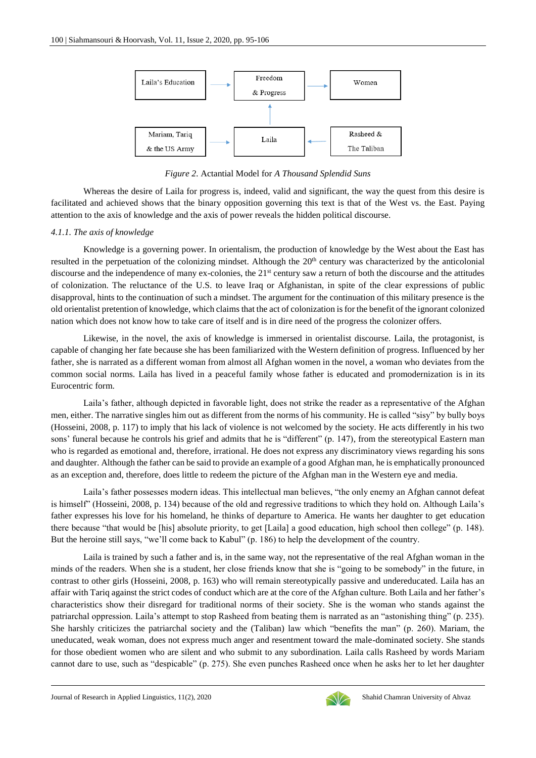

*Figure 2.* Actantial Model for *A Thousand Splendid Suns*

Whereas the desire of Laila for progress is, indeed, valid and significant, the way the quest from this desire is facilitated and achieved shows that the binary opposition governing this text is that of the West vs. the East. Paying attention to the axis of knowledge and the axis of power reveals the hidden political discourse.

# *4.1.1. The axis of knowledge*

Knowledge is a governing power. In orientalism, the production of knowledge by the West about the East has resulted in the perpetuation of the colonizing mindset. Although the 20<sup>th</sup> century was characterized by the anticolonial discourse and the independence of many ex-colonies, the 21<sup>st</sup> century saw a return of both the discourse and the attitudes of colonization. The reluctance of the U.S. to leave Iraq or Afghanistan, in spite of the clear expressions of public disapproval, hints to the continuation of such a mindset. The argument for the continuation of this military presence is the old orientalist pretention of knowledge, which claims that the act of colonization is for the benefit of the ignorant colonized nation which does not know how to take care of itself and is in dire need of the progress the colonizer offers.

Likewise, in the novel, the axis of knowledge is immersed in orientalist discourse. Laila, the protagonist, is capable of changing her fate because she has been familiarized with the Western definition of progress. Influenced by her father, she is narrated as a different woman from almost all Afghan women in the novel, a woman who deviates from the common social norms. Laila has lived in a peaceful family whose father is educated and promodernization is in its Eurocentric form.

Laila's father, although depicted in favorable light, does not strike the reader as a representative of the Afghan men, either. The narrative singles him out as different from the norms of his community. He is called "sisy" by bully boys (Hosseini, 2008, p. 117) to imply that his lack of violence is not welcomed by the society. He acts differently in his two sons' funeral because he controls his grief and admits that he is "different" (p. 147), from the stereotypical Eastern man who is regarded as emotional and, therefore, irrational. He does not express any discriminatory views regarding his sons and daughter. Although the father can be said to provide an example of a good Afghan man, he is emphatically pronounced as an exception and, therefore, does little to redeem the picture of the Afghan man in the Western eye and media.

Laila's father possesses modern ideas. This intellectual man believes, "the only enemy an Afghan cannot defeat is himself" (Hosseini, 2008, p. 134) because of the old and regressive traditions to which they hold on. Although Laila's father expresses his love for his homeland, he thinks of departure to America. He wants her daughter to get education there because "that would be [his] absolute priority, to get [Laila] a good education, high school then college" (p. 148). But the heroine still says, "we'll come back to Kabul" (p. 186) to help the development of the country.

Laila is trained by such a father and is, in the same way, not the representative of the real Afghan woman in the minds of the readers. When she is a student, her close friends know that she is "going to be somebody" in the future, in contrast to other girls (Hosseini, 2008, p. 163) who will remain stereotypically passive and undereducated. Laila has an affair with Tariq against the strict codes of conduct which are at the core of the Afghan culture. Both Laila and her father's characteristics show their disregard for traditional norms of their society. She is the woman who stands against the patriarchal oppression. Laila's attempt to stop Rasheed from beating them is narrated as an "astonishing thing" (p. 235). She harshly criticizes the patriarchal society and the (Taliban) law which "benefits the man" (p. 260). Mariam, the uneducated, weak woman, does not express much anger and resentment toward the male-dominated society. She stands for those obedient women who are silent and who submit to any subordination. Laila calls Rasheed by words Mariam cannot dare to use, such as "despicable" (p. 275). She even punches Rasheed once when he asks her to let her daughter

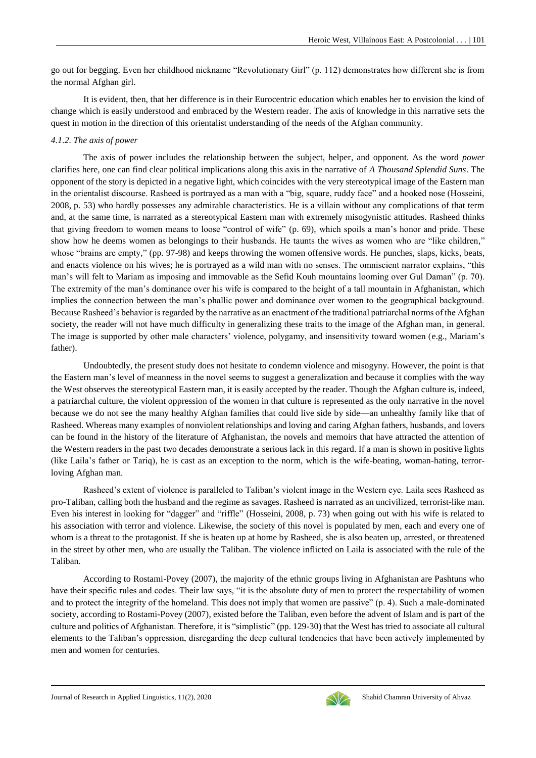go out for begging. Even her childhood nickname "Revolutionary Girl" (p. 112) demonstrates how different she is from the normal Afghan girl.

It is evident, then, that her difference is in their Eurocentric education which enables her to envision the kind of change which is easily understood and embraced by the Western reader. The axis of knowledge in this narrative sets the quest in motion in the direction of this orientalist understanding of the needs of the Afghan community.

# *4.1.2. The axis of power*

The axis of power includes the relationship between the subject, helper, and opponent. As the word *power* clarifies here, one can find clear political implications along this axis in the narrative of *A Thousand Splendid Suns*. The opponent of the story is depicted in a negative light, which coincides with the very stereotypical image of the Eastern man in the orientalist discourse. Rasheed is portrayed as a man with a "big, square, ruddy face" and a hooked nose (Hosseini, 2008, p. 53) who hardly possesses any admirable characteristics. He is a villain without any complications of that term and, at the same time, is narrated as a stereotypical Eastern man with extremely misogynistic attitudes. Rasheed thinks that giving freedom to women means to loose "control of wife" (p. 69), which spoils a man's honor and pride. These show how he deems women as belongings to their husbands. He taunts the wives as women who are "like children," whose "brains are empty," (pp. 97-98) and keeps throwing the women offensive words. He punches, slaps, kicks, beats, and enacts violence on his wives; he is portrayed as a wild man with no senses. The omniscient narrator explains, "this man's will felt to Mariam as imposing and immovable as the Sefid Kouh mountains looming over Gul Daman" (p. 70). The extremity of the man's dominance over his wife is compared to the height of a tall mountain in Afghanistan, which implies the connection between the man's phallic power and dominance over women to the geographical background. Because Rasheed's behavior is regarded by the narrative as an enactment of the traditional patriarchal norms of the Afghan society, the reader will not have much difficulty in generalizing these traits to the image of the Afghan man, in general. The image is supported by other male characters' violence, polygamy, and insensitivity toward women (e.g., Mariam's father).

Undoubtedly, the present study does not hesitate to condemn violence and misogyny. However, the point is that the Eastern man's level of meanness in the novel seems to suggest a generalization and because it complies with the way the West observes the stereotypical Eastern man, it is easily accepted by the reader. Though the Afghan culture is, indeed, a patriarchal culture, the violent oppression of the women in that culture is represented as the only narrative in the novel because we do not see the many healthy Afghan families that could live side by side—an unhealthy family like that of Rasheed. Whereas many examples of nonviolent relationships and loving and caring Afghan fathers, husbands, and lovers can be found in the history of the literature of Afghanistan, the novels and memoirs that have attracted the attention of the Western readers in the past two decades demonstrate a serious lack in this regard. If a man is shown in positive lights (like Laila's father or Tariq), he is cast as an exception to the norm, which is the wife-beating, woman-hating, terrorloving Afghan man.

Rasheed's extent of violence is paralleled to Taliban's violent image in the Western eye. Laila sees Rasheed as pro-Taliban, calling both the husband and the regime as savages. Rasheed is narrated as an uncivilized, terrorist-like man. Even his interest in looking for "dagger" and "riffle" (Hosseini, 2008, p. 73) when going out with his wife is related to his association with terror and violence. Likewise, the society of this novel is populated by men, each and every one of whom is a threat to the protagonist. If she is beaten up at home by Rasheed, she is also beaten up, arrested, or threatened in the street by other men, who are usually the Taliban. The violence inflicted on Laila is associated with the rule of the Taliban.

According to Rostami-Povey (2007), the majority of the ethnic groups living in Afghanistan are Pashtuns who have their specific rules and codes. Their law says, "it is the absolute duty of men to protect the respectability of women and to protect the integrity of the homeland. This does not imply that women are passive" (p. 4). Such a male-dominated society, according to Rostami-Povey (2007), existed before the Taliban, even before the advent of Islam and is part of the culture and politics of Afghanistan. Therefore, it is "simplistic" (pp. 129-30) that the West has tried to associate all cultural elements to the Taliban's oppression, disregarding the deep cultural tendencies that have been actively implemented by men and women for centuries.

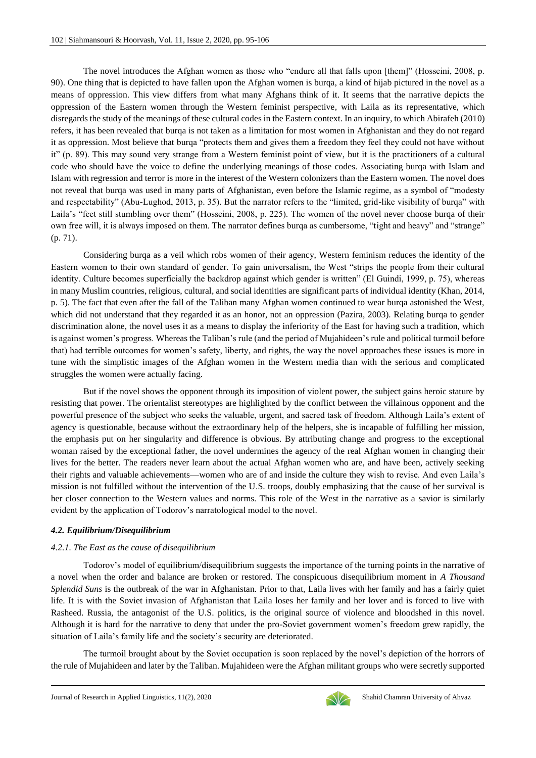The novel introduces the Afghan women as those who "endure all that falls upon [them]" (Hosseini, 2008, p. 90). One thing that is depicted to have fallen upon the Afghan women is burqa, a kind of hijab pictured in the novel as a means of oppression. This view differs from what many Afghans think of it. It seems that the narrative depicts the oppression of the Eastern women through the Western feminist perspective, with Laila as its representative, which disregards the study of the meanings of these cultural codes in the Eastern context. In an inquiry, to which Abirafeh (2010) refers, it has been revealed that burqa is not taken as a limitation for most women in Afghanistan and they do not regard it as oppression. Most believe that burqa "protects them and gives them a freedom they feel they could not have without it" (p. 89). This may sound very strange from a Western feminist point of view, but it is the practitioners of a cultural code who should have the voice to define the underlying meanings of those codes. Associating burqa with Islam and Islam with regression and terror is more in the interest of the Western colonizers than the Eastern women. The novel does not reveal that burqa was used in many parts of Afghanistan, even before the Islamic regime, as a symbol of "modesty and respectability" (Abu-Lughod, 2013, p. 35). But the narrator refers to the "limited, grid-like visibility of burqa" with Laila's "feet still stumbling over them" (Hosseini, 2008, p. 225). The women of the novel never choose burqa of their own free will, it is always imposed on them. The narrator defines burqa as cumbersome, "tight and heavy" and "strange" (p. 71).

Considering burqa as a veil which robs women of their agency, Western feminism reduces the identity of the Eastern women to their own standard of gender. To gain universalism, the West "strips the people from their cultural identity. Culture becomes superficially the backdrop against which gender is written" (El Guindi, 1999, p. 75), whereas in many Muslim countries, religious, cultural, and social identities are significant parts of individual identity (Khan, 2014, p. 5). The fact that even after the fall of the Taliban many Afghan women continued to wear burqa astonished the West, which did not understand that they regarded it as an honor, not an oppression (Pazira, 2003). Relating burqa to gender discrimination alone, the novel uses it as a means to display the inferiority of the East for having such a tradition, which is against women's progress. Whereas the Taliban's rule (and the period of Mujahideen's rule and political turmoil before that) had terrible outcomes for women's safety, liberty, and rights, the way the novel approaches these issues is more in tune with the simplistic images of the Afghan women in the Western media than with the serious and complicated struggles the women were actually facing.

But if the novel shows the opponent through its imposition of violent power, the subject gains heroic stature by resisting that power. The orientalist stereotypes are highlighted by the conflict between the villainous opponent and the powerful presence of the subject who seeks the valuable, urgent, and sacred task of freedom. Although Laila's extent of agency is questionable, because without the extraordinary help of the helpers, she is incapable of fulfilling her mission, the emphasis put on her singularity and difference is obvious. By attributing change and progress to the exceptional woman raised by the exceptional father, the novel undermines the agency of the real Afghan women in changing their lives for the better. The readers never learn about the actual Afghan women who are, and have been, actively seeking their rights and valuable achievements—women who are of and inside the culture they wish to revise. And even Laila's mission is not fulfilled without the intervention of the U.S. troops, doubly emphasizing that the cause of her survival is her closer connection to the Western values and norms. This role of the West in the narrative as a savior is similarly evident by the application of Todorov's narratological model to the novel.

# *4.2. Equilibrium/Disequilibrium*

# *4.2.1. The East as the cause of disequilibrium*

Todorov's model of equilibrium/disequilibrium suggests the importance of the turning points in the narrative of a novel when the order and balance are broken or restored. The conspicuous disequilibrium moment in *A Thousand Splendid Suns* is the outbreak of the war in Afghanistan. Prior to that, Laila lives with her family and has a fairly quiet life. It is with the Soviet invasion of Afghanistan that Laila loses her family and her lover and is forced to live with Rasheed. Russia, the antagonist of the U.S. politics, is the original source of violence and bloodshed in this novel. Although it is hard for the narrative to deny that under the pro-Soviet government women's freedom grew rapidly, the situation of Laila's family life and the society's security are deteriorated.

The turmoil brought about by the Soviet occupation is soon replaced by the novel's depiction of the horrors of the rule of Mujahideen and later by the Taliban. Mujahideen were the Afghan militant groups who were secretly supported

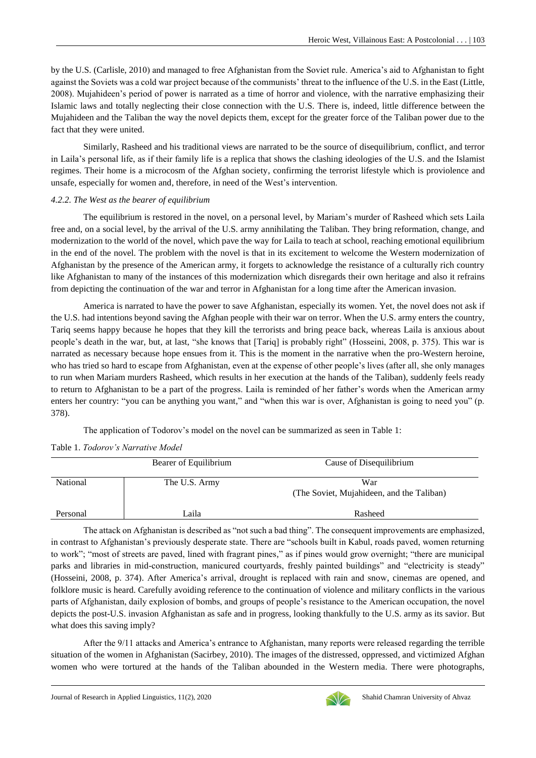by the U.S. (Carlisle, 2010) and managed to free Afghanistan from the Soviet rule. America's aid to Afghanistan to fight against the Soviets was a cold war project because of the communists' threat to the influence of the U.S. in the East (Little, 2008). Mujahideen's period of power is narrated as a time of horror and violence, with the narrative emphasizing their Islamic laws and totally neglecting their close connection with the U.S. There is, indeed, little difference between the Mujahideen and the Taliban the way the novel depicts them, except for the greater force of the Taliban power due to the fact that they were united.

Similarly, Rasheed and his traditional views are narrated to be the source of disequilibrium, conflict, and terror in Laila's personal life, as if their family life is a replica that shows the clashing ideologies of the U.S. and the Islamist regimes. Their home is a microcosm of the Afghan society, confirming the terrorist lifestyle which is proviolence and unsafe, especially for women and, therefore, in need of the West's intervention.

# *4.2.2. The West as the bearer of equilibrium*

The equilibrium is restored in the novel, on a personal level, by Mariam's murder of Rasheed which sets Laila free and, on a social level, by the arrival of the U.S. army annihilating the Taliban. They bring reformation, change, and modernization to the world of the novel, which pave the way for Laila to teach at school, reaching emotional equilibrium in the end of the novel. The problem with the novel is that in its excitement to welcome the Western modernization of Afghanistan by the presence of the American army, it forgets to acknowledge the resistance of a culturally rich country like Afghanistan to many of the instances of this modernization which disregards their own heritage and also it refrains from depicting the continuation of the war and terror in Afghanistan for a long time after the American invasion.

America is narrated to have the power to save Afghanistan, especially its women. Yet, the novel does not ask if the U.S. had intentions beyond saving the Afghan people with their war on terror. When the U.S. army enters the country, Tariq seems happy because he hopes that they kill the terrorists and bring peace back, whereas Laila is anxious about people's death in the war, but, at last, "she knows that [Tariq] is probably right" (Hosseini, 2008, p. 375). This war is narrated as necessary because hope ensues from it. This is the moment in the narrative when the pro-Western heroine, who has tried so hard to escape from Afghanistan, even at the expense of other people's lives (after all, she only manages to run when Mariam murders Rasheed, which results in her execution at the hands of the Taliban), suddenly feels ready to return to Afghanistan to be a part of the progress. Laila is reminded of her father's words when the American army enters her country: "you can be anything you want," and "when this war is over, Afghanistan is going to need you" (p. 378).

The application of Todorov's model on the novel can be summarized as seen in Table 1:

|          | Bearer of Equilibrium | Cause of Disequilibrium                          |
|----------|-----------------------|--------------------------------------------------|
| National | The U.S. Army         | War<br>(The Soviet, Mujahideen, and the Taliban) |
| Personal | Laila                 | Rasheed                                          |

# Table 1. *Todorov's Narrative Model*

The attack on Afghanistan is described as "not such a bad thing". The consequent improvements are emphasized, in contrast to Afghanistan's previously desperate state. There are "schools built in Kabul, roads paved, women returning to work"; "most of streets are paved, lined with fragrant pines," as if pines would grow overnight; "there are municipal parks and libraries in mid-construction, manicured courtyards, freshly painted buildings" and "electricity is steady" (Hosseini, 2008, p. 374). After America's arrival, drought is replaced with rain and snow, cinemas are opened, and folklore music is heard. Carefully avoiding reference to the continuation of violence and military conflicts in the various parts of Afghanistan, daily explosion of bombs, and groups of people's resistance to the American occupation, the novel depicts the post-U.S. invasion Afghanistan as safe and in progress, looking thankfully to the U.S. army as its savior. But what does this saving imply?

After the 9/11 attacks and America's entrance to Afghanistan, many reports were released regarding the terrible situation of the women in Afghanistan (Sacirbey, 2010). The images of the distressed, oppressed, and victimized Afghan women who were tortured at the hands of the Taliban abounded in the Western media. There were photographs,

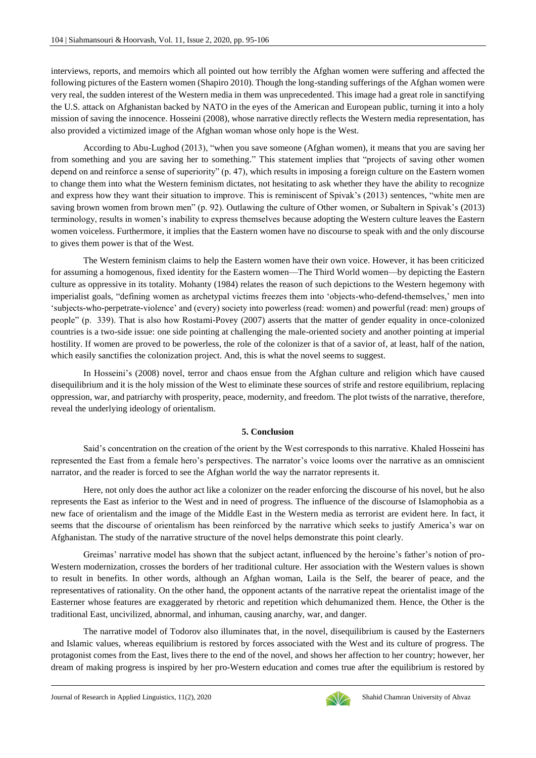interviews, reports, and memoirs which all pointed out how terribly the Afghan women were suffering and affected the following pictures of the Eastern women (Shapiro 2010). Though the long-standing sufferings of the Afghan women were very real, the sudden interest of the Western media in them was unprecedented. This image had a great role in sanctifying the U.S. attack on Afghanistan backed by NATO in the eyes of the American and European public, turning it into a holy mission of saving the innocence. Hosseini (2008), whose narrative directly reflects the Western media representation, has also provided a victimized image of the Afghan woman whose only hope is the West.

According to Abu-Lughod (2013), "when you save someone (Afghan women), it means that you are saving her from something and you are saving her to something." This statement implies that "projects of saving other women depend on and reinforce a sense of superiority" (p. 47), which results in imposing a foreign culture on the Eastern women to change them into what the Western feminism dictates, not hesitating to ask whether they have the ability to recognize and express how they want their situation to improve. This is reminiscent of Spivak's (2013) sentences, "white men are saving brown women from brown men" (p. 92). Outlawing the culture of Other women, or Subaltern in Spivak's (2013) terminology, results in women's inability to express themselves because adopting the Western culture leaves the Eastern women voiceless. Furthermore, it implies that the Eastern women have no discourse to speak with and the only discourse to gives them power is that of the West.

The Western feminism claims to help the Eastern women have their own voice. However, it has been criticized for assuming a homogenous, fixed identity for the Eastern women—The Third World women—by depicting the Eastern culture as oppressive in its totality. Mohanty (1984) relates the reason of such depictions to the Western hegemony with imperialist goals, "defining women as archetypal victims freezes them into 'objects-who-defend-themselves,' men into 'subjects-who-perpetrate-violence' and (every) society into powerless (read: women) and powerful (read: men) groups of people" (p. 339). That is also how Rostami-Povey (2007) asserts that the matter of gender equality in once-colonized countries is a two-side issue: one side pointing at challenging the male-oriented society and another pointing at imperial hostility. If women are proved to be powerless, the role of the colonizer is that of a savior of, at least, half of the nation, which easily sanctifies the colonization project. And, this is what the novel seems to suggest.

In Hosseini's (2008) novel, terror and chaos ensue from the Afghan culture and religion which have caused disequilibrium and it is the holy mission of the West to eliminate these sources of strife and restore equilibrium, replacing oppression, war, and patriarchy with prosperity, peace, modernity, and freedom. The plot twists of the narrative, therefore, reveal the underlying ideology of orientalism.

#### **5. Conclusion**

Said's concentration on the creation of the orient by the West corresponds to this narrative. Khaled Hosseini has represented the East from a female hero's perspectives. The narrator's voice looms over the narrative as an omniscient narrator, and the reader is forced to see the Afghan world the way the narrator represents it.

Here, not only does the author act like a colonizer on the reader enforcing the discourse of his novel, but he also represents the East as inferior to the West and in need of progress. The influence of the discourse of Islamophobia as a new face of orientalism and the image of the Middle East in the Western media as terrorist are evident here. In fact, it seems that the discourse of orientalism has been reinforced by the narrative which seeks to justify America's war on Afghanistan. The study of the narrative structure of the novel helps demonstrate this point clearly.

Greimas' narrative model has shown that the subject actant, influenced by the heroine's father's notion of pro-Western modernization, crosses the borders of her traditional culture. Her association with the Western values is shown to result in benefits. In other words, although an Afghan woman, Laila is the Self, the bearer of peace, and the representatives of rationality. On the other hand, the opponent actants of the narrative repeat the orientalist image of the Easterner whose features are exaggerated by rhetoric and repetition which dehumanized them. Hence, the Other is the traditional East, uncivilized, abnormal, and inhuman, causing anarchy, war, and danger.

The narrative model of Todorov also illuminates that, in the novel, disequilibrium is caused by the Easterners and Islamic values, whereas equilibrium is restored by forces associated with the West and its culture of progress. The protagonist comes from the East, lives there to the end of the novel, and shows her affection to her country; however, her dream of making progress is inspired by her pro-Western education and comes true after the equilibrium is restored by

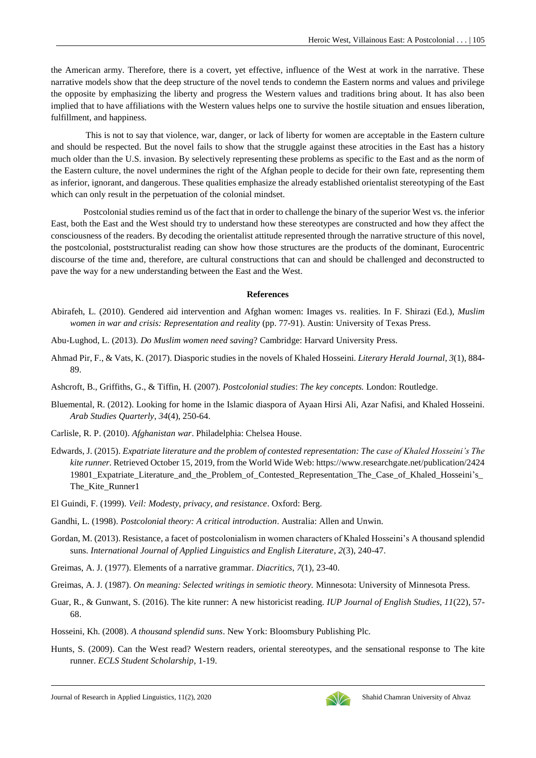the American army. Therefore, there is a covert, yet effective, influence of the West at work in the narrative. These narrative models show that the deep structure of the novel tends to condemn the Eastern norms and values and privilege the opposite by emphasizing the liberty and progress the Western values and traditions bring about. It has also been implied that to have affiliations with the Western values helps one to survive the hostile situation and ensues liberation, fulfillment, and happiness.

This is not to say that violence, war, danger, or lack of liberty for women are acceptable in the Eastern culture and should be respected. But the novel fails to show that the struggle against these atrocities in the East has a history much older than the U.S. invasion. By selectively representing these problems as specific to the East and as the norm of the Eastern culture, the novel undermines the right of the Afghan people to decide for their own fate, representing them as inferior, ignorant, and dangerous. These qualities emphasize the already established orientalist stereotyping of the East which can only result in the perpetuation of the colonial mindset.

Postcolonial studies remind us of the fact that in order to challenge the binary of the superior West vs. the inferior East, both the East and the West should try to understand how these stereotypes are constructed and how they affect the consciousness of the readers. By decoding the orientalist attitude represented through the narrative structure of this novel, the postcolonial, poststructuralist reading can show how those structures are the products of the dominant, Eurocentric discourse of the time and, therefore, are cultural constructions that can and should be challenged and deconstructed to pave the way for a new understanding between the East and the West.

# **References**

- Abirafeh, L. (2010). Gendered aid intervention and Afghan women: Images vs. realities. In F. Shirazi (Ed.), *Muslim women in war and crisis: Representation and reality* (pp. 77-91). Austin: University of Texas Press.
- Abu-Lughod, L. (2013). *Do Muslim women need saving*? Cambridge: Harvard University Press.
- Ahmad Pir, F., & Vats, K. (2017). Diasporic studies in the novels of Khaled Hosseini. *Literary Herald Journal*, *3*(1), 884- 89.
- Ashcroft, B., Griffiths, G., & Tiffin, H*.* (2007). *Postcolonial studies*: *The key concepts.* London: Routledge.
- Bluemental, R. (2012). Looking for home in the Islamic diaspora of Ayaan Hirsi Ali, Azar Nafisi, and Khaled Hosseini. *Arab Studies Quarterly*, *34*(4), 250-64.
- Carlisle, R. P. (2010). *Afghanistan war*. Philadelphia: Chelsea House.
- Edwards, J. (2015). *Expatriate literature and the problem of contested representation: The case of Khaled Hosseini's The kite runner.* Retrieved October 15, 2019, from the World Wide Web: [https://www.researchgate.net/publication/2424](https://www.researchgate.net/publication/2424%2019801_Expatriate_Literature_and_the_Problem_of_)  [19801\\_Expatriate\\_Literature\\_and\\_the\\_Problem\\_of\\_C](https://www.researchgate.net/publication/2424%2019801_Expatriate_Literature_and_the_Problem_of_)ontested\_Representation\_The\_Case\_of\_Khaled\_Hosseini's\_ The\_Kite\_Runner1
- El Guindi, F. (1999). *Veil: Modesty, privacy, and resistance*. Oxford: Berg.
- Gandhi, L. (1998). *Postcolonial theory: A critical introduction*. Australia: Allen and Unwin.
- Gordan, M. (2013). Resistance, a facet of postcolonialism in women characters of Khaled Hosseini's A thousand splendid suns. *International Journal of Applied Linguistics and English Literature*, *2*(3), 240-47.
- Greimas, A. J. (1977). Elements of a narrative grammar. *Diacritics*, *7*(1), 23-40.
- Greimas, A. J*.* (1987). *On meaning: Selected writings in semiotic theory.* Minnesota: University of Minnesota Press.
- Guar, R., & Gunwant, S. (2016). The kite runner: A new historicist reading. *IUP Journal of English Studies*, *11*(22), 57- 68.
- Hosseini, Kh. (2008). *A thousand splendid suns*. New York: Bloomsbury Publishing Plc.
- Hunts, S. (2009). Can the West read? Western readers, oriental stereotypes, and the sensational response to The kite runner. *ECLS Student Scholarship*, 1-19.